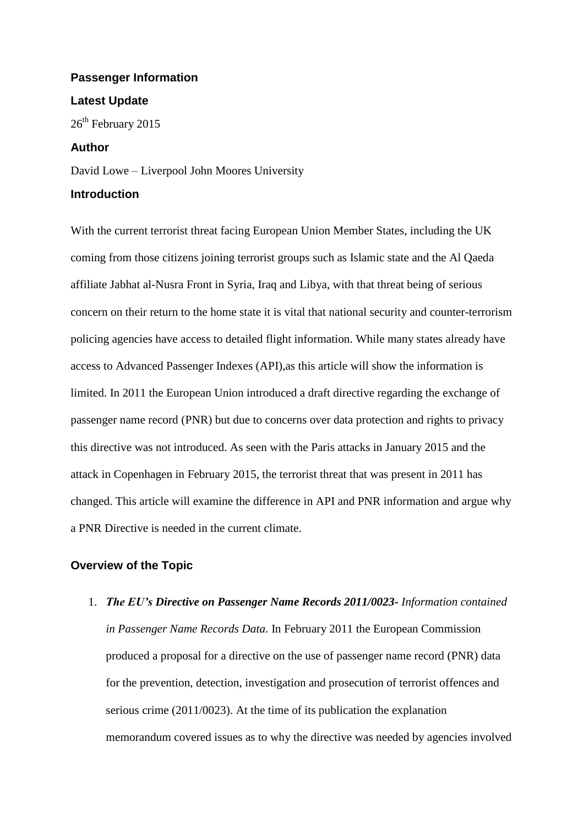# **Passenger Information**

#### **Latest Update**

26<sup>th</sup> February 2015

#### **Author**

David Lowe – Liverpool John Moores University

#### **Introduction**

With the current terrorist threat facing European Union Member States, including the UK coming from those citizens joining terrorist groups such as Islamic state and the Al Qaeda affiliate Jabhat al-Nusra Front in Syria, Iraq and Libya, with that threat being of serious concern on their return to the home state it is vital that national security and counter-terrorism policing agencies have access to detailed flight information. While many states already have access to Advanced Passenger Indexes (API),as this article will show the information is limited. In 2011 the European Union introduced a draft directive regarding the exchange of passenger name record (PNR) but due to concerns over data protection and rights to privacy this directive was not introduced. As seen with the Paris attacks in January 2015 and the attack in Copenhagen in February 2015, the terrorist threat that was present in 2011 has changed. This article will examine the difference in API and PNR information and argue why a PNR Directive is needed in the current climate.

#### **Overview of the Topic**

1. *The EU's Directive on Passenger Name Records 2011/0023- Information contained in Passenger Name Records Data.* In February 2011 the European Commission produced a proposal for a directive on the use of passenger name record (PNR) data for the prevention, detection, investigation and prosecution of terrorist offences and serious crime (2011/0023). At the time of its publication the explanation memorandum covered issues as to why the directive was needed by agencies involved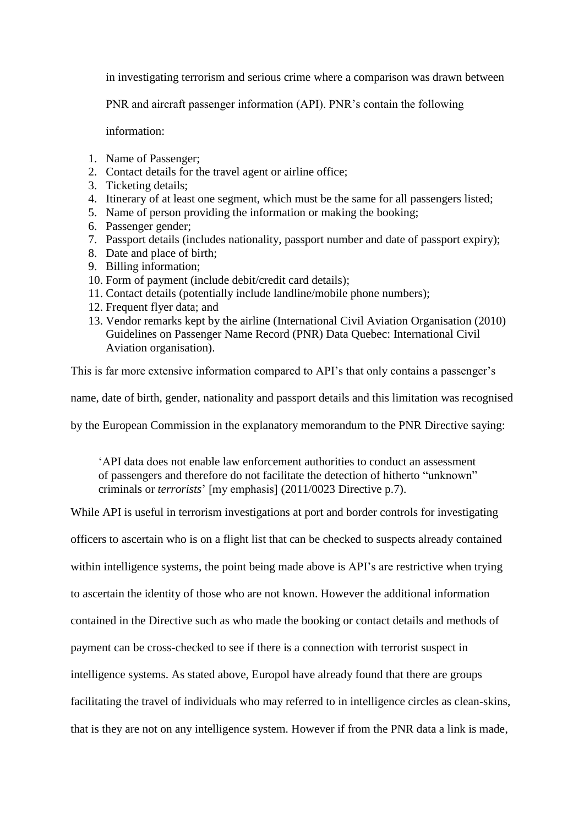in investigating terrorism and serious crime where a comparison was drawn between

PNR and aircraft passenger information (API). PNR's contain the following

information:

- 1. Name of Passenger;
- 2. Contact details for the travel agent or airline office;
- 3. Ticketing details;
- 4. Itinerary of at least one segment, which must be the same for all passengers listed;
- 5. Name of person providing the information or making the booking;
- 6. Passenger gender;
- 7. Passport details (includes nationality, passport number and date of passport expiry);
- 8. Date and place of birth;
- 9. Billing information;
- 10. Form of payment (include debit/credit card details);
- 11. Contact details (potentially include landline/mobile phone numbers);
- 12. Frequent flyer data; and
- 13. Vendor remarks kept by the airline (International Civil Aviation Organisation (2010) Guidelines on Passenger Name Record (PNR) Data Quebec: International Civil Aviation organisation).

This is far more extensive information compared to API's that only contains a passenger's

name, date of birth, gender, nationality and passport details and this limitation was recognised

by the European Commission in the explanatory memorandum to the PNR Directive saying:

'API data does not enable law enforcement authorities to conduct an assessment of passengers and therefore do not facilitate the detection of hitherto "unknown" criminals or *terrorists*' [my emphasis] (2011/0023 Directive p.7).

While API is useful in terrorism investigations at port and border controls for investigating

officers to ascertain who is on a flight list that can be checked to suspects already contained

within intelligence systems, the point being made above is API's are restrictive when trying

to ascertain the identity of those who are not known. However the additional information

contained in the Directive such as who made the booking or contact details and methods of

payment can be cross-checked to see if there is a connection with terrorist suspect in

intelligence systems. As stated above, Europol have already found that there are groups

facilitating the travel of individuals who may referred to in intelligence circles as clean-skins,

that is they are not on any intelligence system. However if from the PNR data a link is made,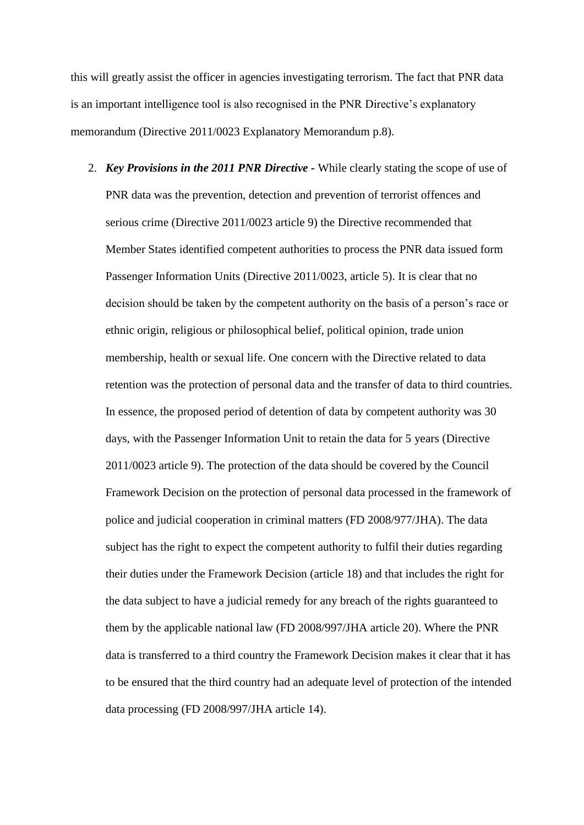this will greatly assist the officer in agencies investigating terrorism. The fact that PNR data is an important intelligence tool is also recognised in the PNR Directive's explanatory memorandum (Directive 2011/0023 Explanatory Memorandum p.8).

2. *Key Provisions in the 2011 PNR Directive -* While clearly stating the scope of use of PNR data was the prevention, detection and prevention of terrorist offences and serious crime (Directive 2011/0023 article 9) the Directive recommended that Member States identified competent authorities to process the PNR data issued form Passenger Information Units (Directive 2011/0023, article 5). It is clear that no decision should be taken by the competent authority on the basis of a person's race or ethnic origin, religious or philosophical belief, political opinion, trade union membership, health or sexual life. One concern with the Directive related to data retention was the protection of personal data and the transfer of data to third countries. In essence, the proposed period of detention of data by competent authority was 30 days, with the Passenger Information Unit to retain the data for 5 years (Directive 2011/0023 article 9). The protection of the data should be covered by the Council Framework Decision on the protection of personal data processed in the framework of police and judicial cooperation in criminal matters (FD 2008/977/JHA). The data subject has the right to expect the competent authority to fulfil their duties regarding their duties under the Framework Decision (article 18) and that includes the right for the data subject to have a judicial remedy for any breach of the rights guaranteed to them by the applicable national law (FD 2008/997/JHA article 20). Where the PNR data is transferred to a third country the Framework Decision makes it clear that it has to be ensured that the third country had an adequate level of protection of the intended data processing (FD 2008/997/JHA article 14).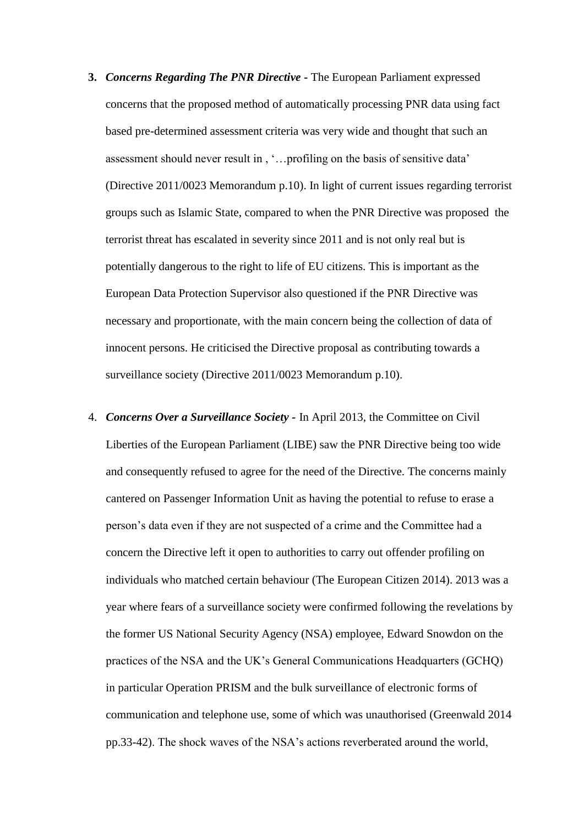- **3.** *Concerns Regarding The PNR Directive -* The European Parliament expressed concerns that the proposed method of automatically processing PNR data using fact based pre-determined assessment criteria was very wide and thought that such an assessment should never result in , '…profiling on the basis of sensitive data' (Directive 2011/0023 Memorandum p.10). In light of current issues regarding terrorist groups such as Islamic State, compared to when the PNR Directive was proposed the terrorist threat has escalated in severity since 2011 and is not only real but is potentially dangerous to the right to life of EU citizens. This is important as the European Data Protection Supervisor also questioned if the PNR Directive was necessary and proportionate, with the main concern being the collection of data of innocent persons. He criticised the Directive proposal as contributing towards a surveillance society (Directive 2011/0023 Memorandum p.10).
- 4. *Concerns Over a Surveillance Society -* In April 2013, the Committee on Civil Liberties of the European Parliament (LIBE) saw the PNR Directive being too wide and consequently refused to agree for the need of the Directive. The concerns mainly cantered on Passenger Information Unit as having the potential to refuse to erase a person's data even if they are not suspected of a crime and the Committee had a concern the Directive left it open to authorities to carry out offender profiling on individuals who matched certain behaviour (The European Citizen 2014). 2013 was a year where fears of a surveillance society were confirmed following the revelations by the former US National Security Agency (NSA) employee, Edward Snowdon on the practices of the NSA and the UK's General Communications Headquarters (GCHQ) in particular Operation PRISM and the bulk surveillance of electronic forms of communication and telephone use, some of which was unauthorised (Greenwald 2014 pp.33-42). The shock waves of the NSA's actions reverberated around the world,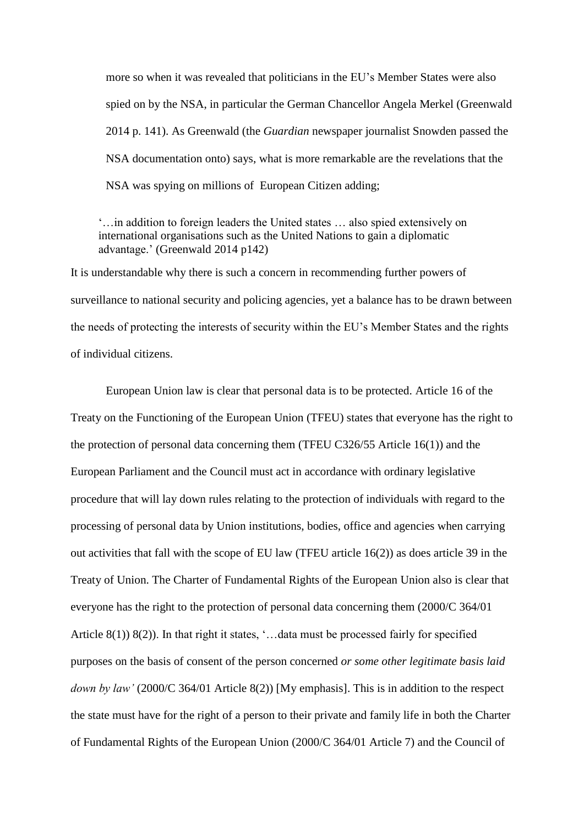more so when it was revealed that politicians in the EU's Member States were also spied on by the NSA, in particular the German Chancellor Angela Merkel (Greenwald 2014 p. 141). As Greenwald (the *Guardian* newspaper journalist Snowden passed the NSA documentation onto) says, what is more remarkable are the revelations that the NSA was spying on millions of European Citizen adding;

'…in addition to foreign leaders the United states … also spied extensively on international organisations such as the United Nations to gain a diplomatic advantage.' (Greenwald 2014 p142)

It is understandable why there is such a concern in recommending further powers of surveillance to national security and policing agencies, yet a balance has to be drawn between the needs of protecting the interests of security within the EU's Member States and the rights of individual citizens.

European Union law is clear that personal data is to be protected. Article 16 of the Treaty on the Functioning of the European Union (TFEU) states that everyone has the right to the protection of personal data concerning them (TFEU C326/55 Article 16(1)) and the European Parliament and the Council must act in accordance with ordinary legislative procedure that will lay down rules relating to the protection of individuals with regard to the processing of personal data by Union institutions, bodies, office and agencies when carrying out activities that fall with the scope of EU law (TFEU article 16(2)) as does article 39 in the Treaty of Union. The Charter of Fundamental Rights of the European Union also is clear that everyone has the right to the protection of personal data concerning them (2000/C 364/01 Article 8(1)) 8(2)). In that right it states, '…data must be processed fairly for specified purposes on the basis of consent of the person concerned *or some other legitimate basis laid down by law'* (2000/C 364/01 Article 8(2)) [My emphasis]. This is in addition to the respect the state must have for the right of a person to their private and family life in both the Charter of Fundamental Rights of the European Union (2000/C 364/01 Article 7) and the Council of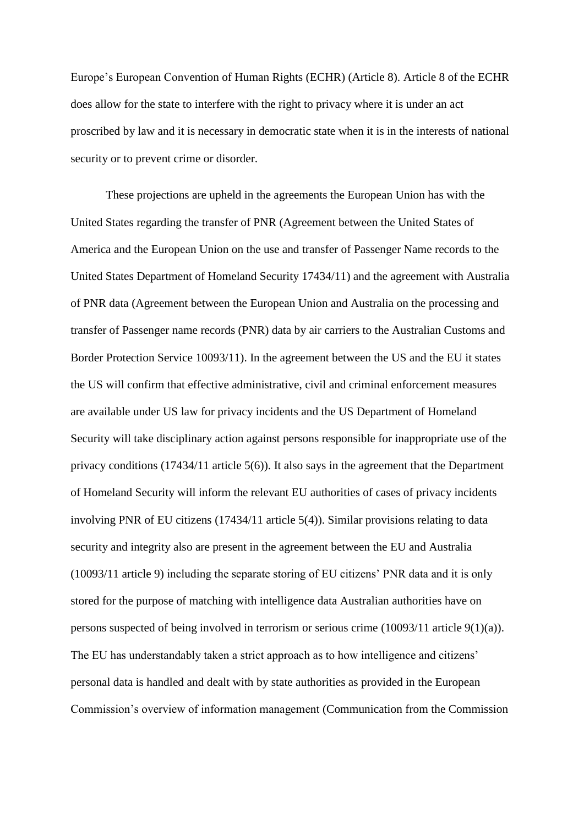Europe's European Convention of Human Rights (ECHR) (Article 8). Article 8 of the ECHR does allow for the state to interfere with the right to privacy where it is under an act proscribed by law and it is necessary in democratic state when it is in the interests of national security or to prevent crime or disorder.

These projections are upheld in the agreements the European Union has with the United States regarding the transfer of PNR (Agreement between the United States of America and the European Union on the use and transfer of Passenger Name records to the United States Department of Homeland Security 17434/11) and the agreement with Australia of PNR data (Agreement between the European Union and Australia on the processing and transfer of Passenger name records (PNR) data by air carriers to the Australian Customs and Border Protection Service 10093/11). In the agreement between the US and the EU it states the US will confirm that effective administrative, civil and criminal enforcement measures are available under US law for privacy incidents and the US Department of Homeland Security will take disciplinary action against persons responsible for inappropriate use of the privacy conditions (17434/11 article 5(6)). It also says in the agreement that the Department of Homeland Security will inform the relevant EU authorities of cases of privacy incidents involving PNR of EU citizens (17434/11 article 5(4)). Similar provisions relating to data security and integrity also are present in the agreement between the EU and Australia (10093/11 article 9) including the separate storing of EU citizens' PNR data and it is only stored for the purpose of matching with intelligence data Australian authorities have on persons suspected of being involved in terrorism or serious crime (10093/11 article 9(1)(a)). The EU has understandably taken a strict approach as to how intelligence and citizens' personal data is handled and dealt with by state authorities as provided in the European Commission's overview of information management (Communication from the Commission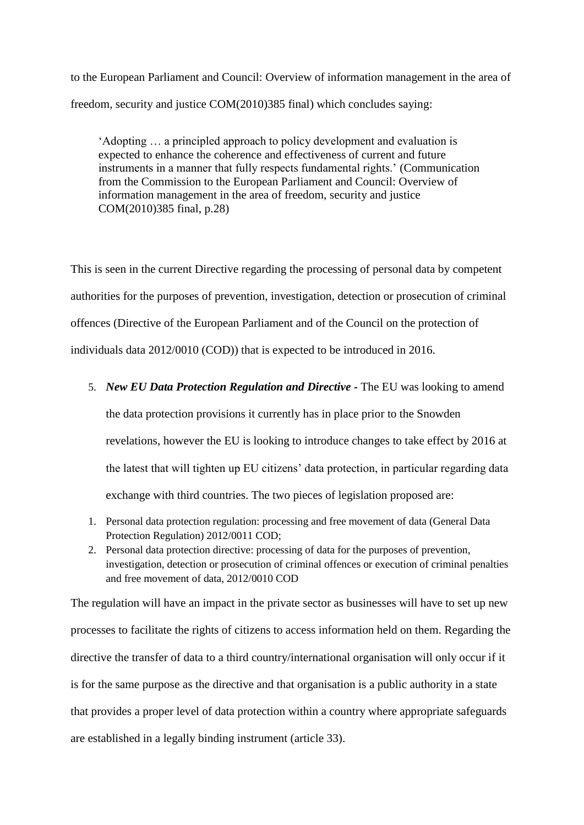to the European Parliament and Council: Overview of information management in the area of freedom, security and justice COM(2010)385 final) which concludes saying:

'Adopting … a principled approach to policy development and evaluation is expected to enhance the coherence and effectiveness of current and future instruments in a manner that fully respects fundamental rights.' (Communication from the Commission to the European Parliament and Council: Overview of information management in the area of freedom, security and justice COM(2010)385 final, p.28)

This is seen in the current Directive regarding the processing of personal data by competent authorities for the purposes of prevention, investigation, detection or prosecution of criminal offences (Directive of the European Parliament and of the Council on the protection of individuals data 2012/0010 (COD)) that is expected to be introduced in 2016.

5. *New EU Data Protection Regulation and Directive -* The EU was looking to amend

the data protection provisions it currently has in place prior to the Snowden revelations, however the EU is looking to introduce changes to take effect by 2016 at the latest that will tighten up EU citizens' data protection, in particular regarding data exchange with third countries. The two pieces of legislation proposed are:

- 1. Personal data protection regulation: processing and free movement of data (General Data Protection Regulation) 2012/0011 COD;
- 2. Personal data protection directive: processing of data for the purposes of prevention, investigation, detection or prosecution of criminal offences or execution of criminal penalties and free movement of data, 2012/0010 COD

The regulation will have an impact in the private sector as businesses will have to set up new processes to facilitate the rights of citizens to access information held on them. Regarding the directive the transfer of data to a third country/international organisation will only occur if it is for the same purpose as the directive and that organisation is a public authority in a state that provides a proper level of data protection within a country where appropriate safeguards are established in a legally binding instrument (article 33).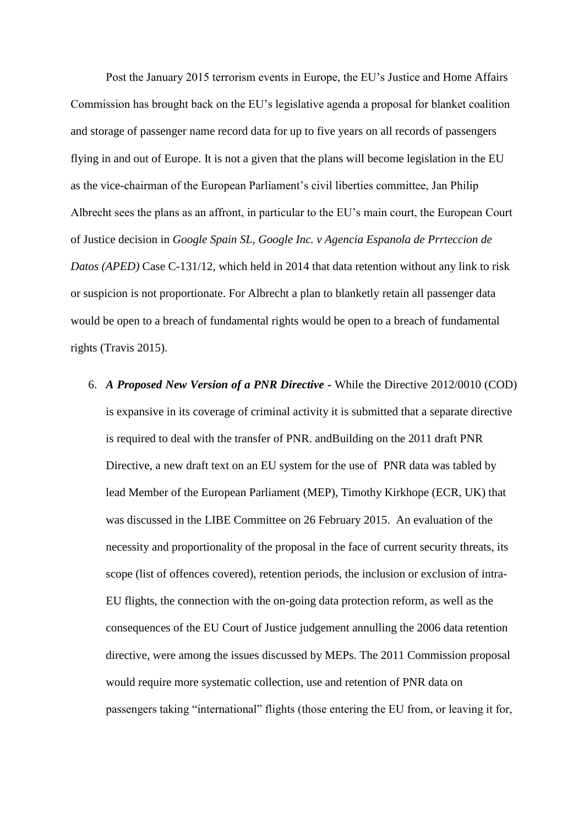Post the January 2015 terrorism events in Europe, the EU's Justice and Home Affairs Commission has brought back on the EU's legislative agenda a proposal for blanket coalition and storage of passenger name record data for up to five years on all records of passengers flying in and out of Europe. It is not a given that the plans will become legislation in the EU as the vice-chairman of the European Parliament's civil liberties committee, Jan Philip Albrecht sees the plans as an affront, in particular to the EU's main court, the European Court of Justice decision in *Google Spain SL, Google Inc. v Agencia Espanola de Prrteccion de Datos (APED)* Case C-131/12, which held in 2014 that data retention without any link to risk or suspicion is not proportionate. For Albrecht a plan to blanketly retain all passenger data would be open to a breach of fundamental rights would be open to a breach of fundamental rights (Travis 2015).

6. *A Proposed New Version of a PNR Directive -* While the Directive 2012/0010 (COD) is expansive in its coverage of criminal activity it is submitted that a separate directive is required to deal with the transfer of PNR. andBuilding on the 2011 draft PNR Directive, a new draft text on an EU system for the use of PNR data was tabled by lead Member of the European Parliament (MEP), Timothy Kirkhope (ECR, UK) that was discussed in the LIBE Committee on 26 February 2015. An evaluation of the necessity and proportionality of the proposal in the face of current security threats, its scope (list of offences covered), retention periods, the inclusion or exclusion of intra-EU flights, the connection with the on-going data protection reform, as well as the consequences of the EU Court of Justice judgement annulling the 2006 data retention directive, were among the issues discussed by MEPs. The 2011 Commission proposal would require more systematic collection, use and retention of PNR data on passengers taking "international" flights (those entering the EU from, or leaving it for,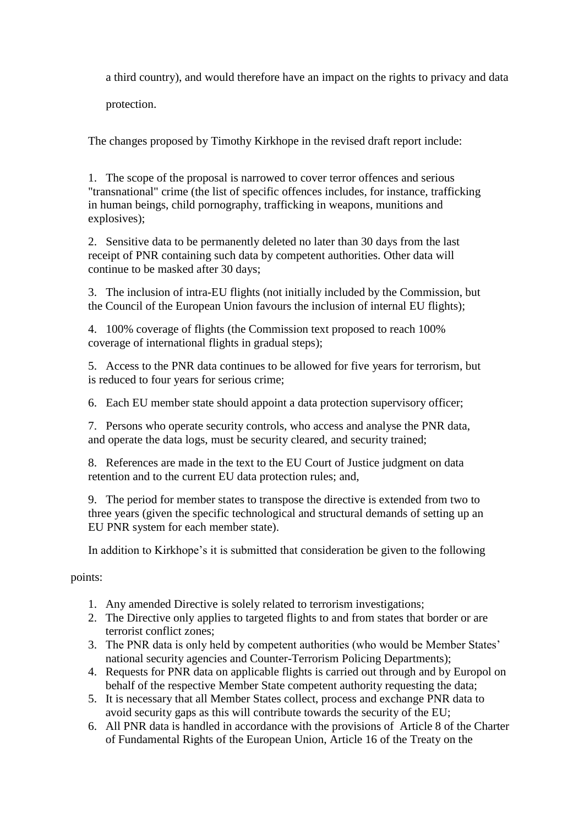a third country), and would therefore have an impact on the rights to privacy and data

protection.

The changes proposed by Timothy Kirkhope in the revised draft report include:

1. The scope of the proposal is narrowed to cover terror offences and serious "transnational" crime (the list of specific offences includes, for instance, trafficking in human beings, child pornography, trafficking in weapons, munitions and explosives);

2. Sensitive data to be permanently deleted no later than 30 days from the last receipt of PNR containing such data by competent authorities. Other data will continue to be masked after 30 days;

3. The inclusion of intra-EU flights (not initially included by the Commission, but the Council of the European Union favours the inclusion of internal EU flights);

4. 100% coverage of flights (the Commission text proposed to reach 100% coverage of international flights in gradual steps);

5. Access to the PNR data continues to be allowed for five years for terrorism, but is reduced to four years for serious crime;

6. Each EU member state should appoint a data protection supervisory officer;

7. Persons who operate security controls, who access and analyse the PNR data, and operate the data logs, must be security cleared, and security trained;

8. References are made in the text to the EU Court of Justice judgment on data retention and to the current EU data protection rules; and,

9. The period for member states to transpose the directive is extended from two to three years (given the specific technological and structural demands of setting up an EU PNR system for each member state).

In addition to Kirkhope's it is submitted that consideration be given to the following

points:

- 1. Any amended Directive is solely related to terrorism investigations;
- 2. The Directive only applies to targeted flights to and from states that border or are terrorist conflict zones;
- 3. The PNR data is only held by competent authorities (who would be Member States' national security agencies and Counter-Terrorism Policing Departments);
- 4. Requests for PNR data on applicable flights is carried out through and by Europol on behalf of the respective Member State competent authority requesting the data;
- 5. It is necessary that all Member States collect, process and exchange PNR data to avoid security gaps as this will contribute towards the security of the EU;
- 6. All PNR data is handled in accordance with the provisions of Article 8 of the Charter of Fundamental Rights of the European Union, Article 16 of the Treaty on the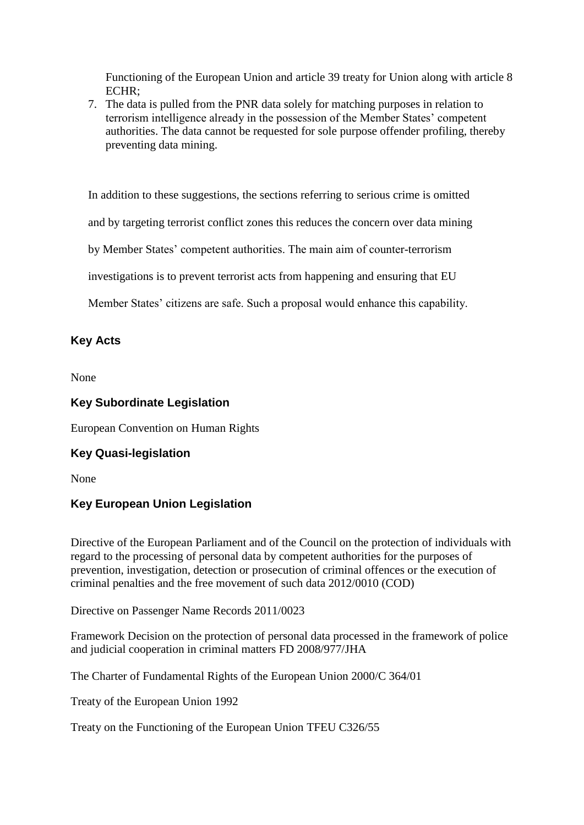Functioning of the European Union and article 39 treaty for Union along with article 8 ECHR;

7. The data is pulled from the PNR data solely for matching purposes in relation to terrorism intelligence already in the possession of the Member States' competent authorities. The data cannot be requested for sole purpose offender profiling, thereby preventing data mining.

In addition to these suggestions, the sections referring to serious crime is omitted

and by targeting terrorist conflict zones this reduces the concern over data mining

by Member States' competent authorities. The main aim of counter-terrorism

investigations is to prevent terrorist acts from happening and ensuring that EU

Member States' citizens are safe. Such a proposal would enhance this capability.

## **Key Acts**

None

## **Key Subordinate Legislation**

European Convention on Human Rights

## **Key Quasi-legislation**

None

## **Key European Union Legislation**

Directive of the European Parliament and of the Council on the protection of individuals with regard to the processing of personal data by competent authorities for the purposes of prevention, investigation, detection or prosecution of criminal offences or the execution of criminal penalties and the free movement of such data 2012/0010 (COD)

Directive on Passenger Name Records 2011/0023

Framework Decision on the protection of personal data processed in the framework of police and judicial cooperation in criminal matters FD 2008/977/JHA

The Charter of Fundamental Rights of the European Union 2000/C 364/01

Treaty of the European Union 1992

Treaty on the Functioning of the European Union TFEU C326/55